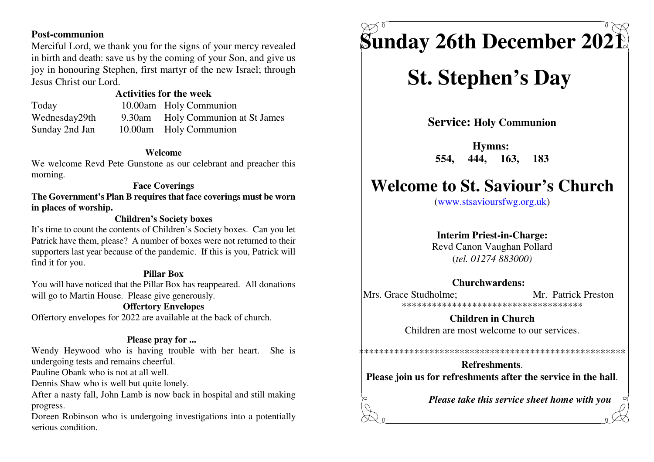### **Post-communion**

 Merciful Lord, we thank you for the signs of your mercy revealed in birth and death: save us by the coming of your Son, and give us joy in honouring Stephen, first martyr of the new Israel; throughJesus Christ our Lord.

### **Activities for the week**

 Today 10.00am Holy Communion Wednesday29th 9.30am Holy Communion at St JamesSunday 2nd Jan 10.00am Holy Communion

### **Welcome**

 We welcome Revd Pete Gunstone as our celebrant and preacher thismorning.

### **Face Coverings**

 **The Government's Plan B requires that face coverings must be wornin places of worship.**

### **Children's Society boxes**

 It's time to count the contents of Children's Society boxes. Can you let Patrick have them, please? A number of boxes were not returned to their supporters last year because of the pandemic. If this is you, Patrick willfind it for you.

### **Pillar Box**

 You will have noticed that the Pillar Box has reappeared. All donationswill go to Martin House. Please give generously.

### **Offertory Envelopes**

Offertory envelopes for 2022 are available at the back of church.

### **Please pray for ...**

 Wendy Heywood who is having trouble with her heart. She isundergoing tests and remains cheerful.

Pauline Obank who is not at all well.

Dennis Shaw who is well but quite lonely.

 After a nasty fall, John Lamb is now back in hospital and still makingprogress.

 Doreen Robinson who is undergoing investigations into a potentiallyserious condition.

# **Sunday 26th December 2021**

## **St. Stephen's Day**

**Service: Holy Communion**

**Hymns: 554, 444, 163, 183**

### **Welcome to St. Saviour's Church**

(www.stsavioursfwg.org.uk)

### **Interim Priest-in-Charge:**

 Revd Canon Vaughan Pollard(*tel. 01274 883000)*

### **Churchwardens:**

Mrs. Grace Studholme: Mr. Patrick Preston \*\*\*\*\*\*\*\*\*\*\*\*\*\*\*\*\*\*\*\*\*\*\*\*\*\*\*\*\*\*\*\*\*\*\*\*

> **Children in Church**Children are most welcome to our services.

\*\*\*\*\*\*\*\*\*\*\*\*\*\*\*\*\*\*\*\*\*\*\*\*\*\*\*\*\*\*\*\*\*\*\*\*\*\*\*\*\*\*\*\*\*\*\*\*\*\*\*\*\*

### **Refreshments**.**Please join us for refreshments after the service in the hall**.

*Please take this service sheet home with you*